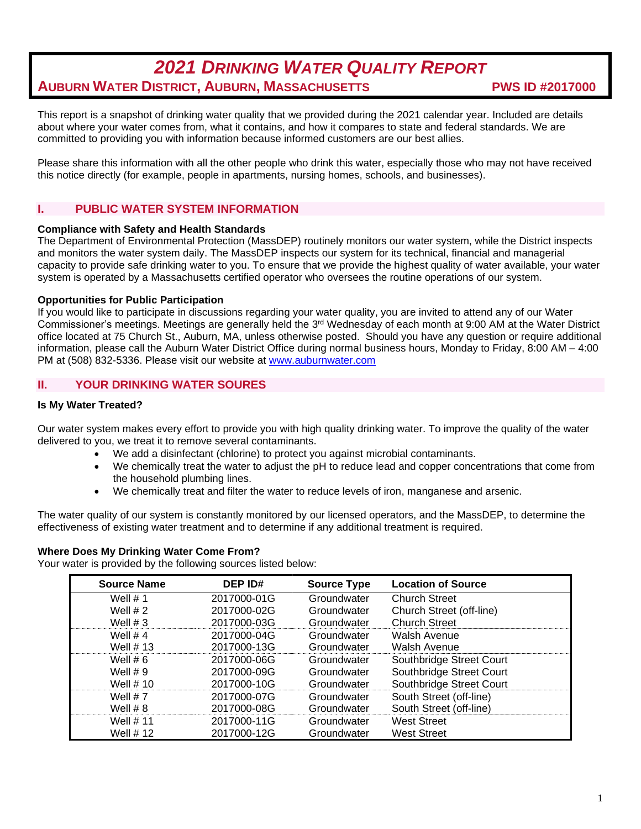# *2021 DRINKING WATER QUALITY REPORT* **AUBURN WATER DISTRICT, AUBURN, MASSACHUSETTS PWS ID #2017000**

This report is a snapshot of drinking water quality that we provided during the 2021 calendar year. Included are details about where your water comes from, what it contains, and how it compares to state and federal standards. We are committed to providing you with information because informed customers are our best allies.

Please share this information with all the other people who drink this water, especially those who may not have received this notice directly (for example, people in apartments, nursing homes, schools, and businesses).

# **I. PUBLIC WATER SYSTEM INFORMATION**

## **Compliance with Safety and Health Standards**

The Department of Environmental Protection (MassDEP) routinely monitors our water system, while the District inspects and monitors the water system daily. The MassDEP inspects our system for its technical, financial and managerial capacity to provide safe drinking water to you. To ensure that we provide the highest quality of water available, your water system is operated by a Massachusetts certified operator who oversees the routine operations of our system.

# **Opportunities for Public Participation**

If you would like to participate in discussions regarding your water quality, you are invited to attend any of our Water Commissioner's meetings. Meetings are generally held the 3rd Wednesday of each month at 9:00 AM at the Water District office located at 75 Church St., Auburn, MA, unless otherwise posted. Should you have any question or require additional information, please call the Auburn Water District Office during normal business hours, Monday to Friday, 8:00 AM – 4:00 PM at (508) 832-5336. Please visit our website at [www.auburnwater.com](http://www.auburnwater.com/)

# **II. YOUR DRINKING WATER SOURES**

# **Is My Water Treated?**

Our water system makes every effort to provide you with high quality drinking water. To improve the quality of the water delivered to you, we treat it to remove several contaminants.

- We add a disinfectant (chlorine) to protect you against microbial contaminants.
- We chemically treat the water to adjust the pH to reduce lead and copper concentrations that come from the household plumbing lines.
- We chemically treat and filter the water to reduce levels of iron, manganese and arsenic.

The water quality of our system is constantly monitored by our licensed operators, and the MassDEP, to determine the effectiveness of existing water treatment and to determine if any additional treatment is required.

#### **Where Does My Drinking Water Come From?**

Your water is provided by the following sources listed below:

| <b>Source Name</b> | <b>DEP ID#</b> | <b>Source Type</b> | <b>Location of Source</b> |
|--------------------|----------------|--------------------|---------------------------|
| Well $# 1$         | 2017000-01G    | Groundwater        | <b>Church Street</b>      |
| Well $# 2$         | 2017000-02G    | Groundwater        | Church Street (off-line)  |
| Well $# 3$         | 2017000-03G    | Groundwater        | <b>Church Street</b>      |
| Well $# 4$         | 2017000-04G    | Groundwater        | Walsh Avenue              |
| Well $# 13$        | 2017000-13G    | Groundwater        | Walsh Avenue              |
| Well $# 6$         | 2017000-06G    | Groundwater        | Southbridge Street Court  |
| Well $# 9$         | 2017000-09G    | Groundwater        | Southbridge Street Court  |
| Well $# 10$        | 2017000-10G    | Groundwater        | Southbridge Street Court  |
| Well $# 7$         | 2017000-07G    | Groundwater        | South Street (off-line)   |
| Well $# 8$         | 2017000-08G    | Groundwater        | South Street (off-line)   |
| Well $# 11$        | 2017000-11G    | Groundwater        | <b>West Street</b>        |
| Well $# 12$        | 2017000-12G    | Groundwater        | <b>West Street</b>        |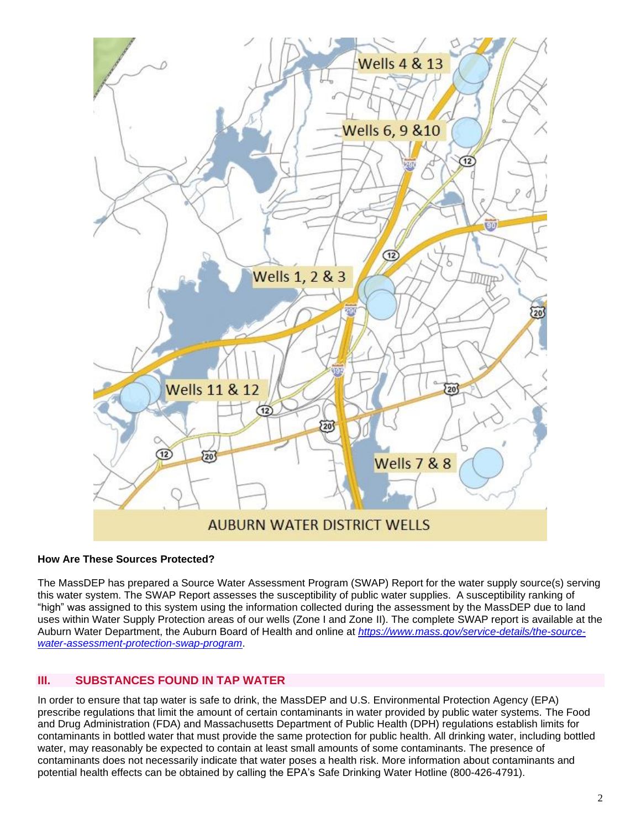

# **How Are These Sources Protected?**

The MassDEP has prepared a Source Water Assessment Program (SWAP) Report for the water supply source(s) serving this water system. The SWAP Report assesses the susceptibility of public water supplies. A susceptibility ranking of "high" was assigned to this system using the information collected during the assessment by the MassDEP due to land uses within Water Supply Protection areas of our wells (Zone I and Zone II). The complete SWAP report is available at the Auburn Water Department, the Auburn Board of Health and online at *[https://www.mass.gov/service-details/the-source](https://www.mass.gov/service-details/the-source-water-assessment-protection-swap-program)[water-assessment-protection-swap-program](https://www.mass.gov/service-details/the-source-water-assessment-protection-swap-program)*.

# **III. SUBSTANCES FOUND IN TAP WATER**

In order to ensure that tap water is safe to drink, the MassDEP and U.S. Environmental Protection Agency (EPA) prescribe regulations that limit the amount of certain contaminants in water provided by public water systems. The Food and Drug Administration (FDA) and Massachusetts Department of Public Health (DPH) regulations establish limits for contaminants in bottled water that must provide the same protection for public health. All drinking water, including bottled water, may reasonably be expected to contain at least small amounts of some contaminants. The presence of contaminants does not necessarily indicate that water poses a health risk. More information about contaminants and potential health effects can be obtained by calling the EPA's Safe Drinking Water Hotline (800-426-4791).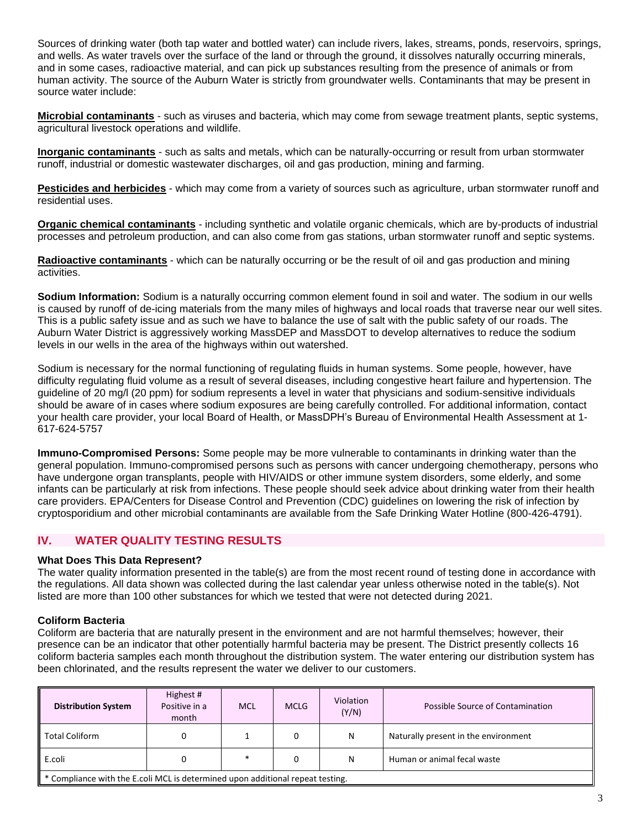Sources of drinking water (both tap water and bottled water) can include rivers, lakes, streams, ponds, reservoirs, springs, and wells. As water travels over the surface of the land or through the ground, it dissolves naturally occurring minerals, and in some cases, radioactive material, and can pick up substances resulting from the presence of animals or from human activity. The source of the Auburn Water is strictly from groundwater wells. Contaminants that may be present in source water include:

**Microbial contaminants** - such as viruses and bacteria, which may come from sewage treatment plants, septic systems, agricultural livestock operations and wildlife.

**Inorganic contaminants** - such as salts and metals, which can be naturally-occurring or result from urban stormwater runoff, industrial or domestic wastewater discharges, oil and gas production, mining and farming.

**Pesticides and herbicides** - which may come from a variety of sources such as agriculture, urban stormwater runoff and residential uses.

**Organic chemical contaminants** - including synthetic and volatile organic chemicals, which are by-products of industrial processes and petroleum production, and can also come from gas stations, urban stormwater runoff and septic systems.

**Radioactive contaminants** - which can be naturally occurring or be the result of oil and gas production and mining activities.

**Sodium Information:** Sodium is a naturally occurring common element found in soil and water. The sodium in our wells is caused by runoff of de-icing materials from the many miles of highways and local roads that traverse near our well sites. This is a public safety issue and as such we have to balance the use of salt with the public safety of our roads. The Auburn Water District is aggressively working MassDEP and MassDOT to develop alternatives to reduce the sodium levels in our wells in the area of the highways within out watershed.

Sodium is necessary for the normal functioning of regulating fluids in human systems. Some people, however, have difficulty regulating fluid volume as a result of several diseases, including congestive heart failure and hypertension. The guideline of 20 mg/l (20 ppm) for sodium represents a level in water that physicians and sodium-sensitive individuals should be aware of in cases where sodium exposures are being carefully controlled. For additional information, contact your health care provider, your local Board of Health, or MassDPH's Bureau of Environmental Health Assessment at 1- 617-624-5757

**Immuno-Compromised Persons:** Some people may be more vulnerable to contaminants in drinking water than the general population. Immuno-compromised persons such as persons with cancer undergoing chemotherapy, persons who have undergone organ transplants, people with HIV/AIDS or other immune system disorders, some elderly, and some infants can be particularly at risk from infections. These people should seek advice about drinking water from their health care providers. EPA/Centers for Disease Control and Prevention (CDC) guidelines on lowering the risk of infection by cryptosporidium and other microbial contaminants are available from the Safe Drinking Water Hotline (800-426-4791).

# **IV. WATER QUALITY TESTING RESULTS**

#### **What Does This Data Represent?**

The water quality information presented in the table(s) are from the most recent round of testing done in accordance with the regulations. All data shown was collected during the last calendar year unless otherwise noted in the table(s). Not listed are more than 100 other substances for which we tested that were not detected during 2021.

#### **Coliform Bacteria**

Coliform are bacteria that are naturally present in the environment and are not harmful themselves; however, their presence can be an indicator that other potentially harmful bacteria may be present. The District presently collects 16 coliform bacteria samples each month throughout the distribution system. The water entering our distribution system has been chlorinated, and the results represent the water we deliver to our customers.

| <b>Distribution System</b>                                                                 | Highest #<br>Positive in a<br>month | <b>MCL</b> | <b>MCLG</b> | Violation<br>(Y/N) | Possible Source of Contamination     |  |  |  |
|--------------------------------------------------------------------------------------------|-------------------------------------|------------|-------------|--------------------|--------------------------------------|--|--|--|
| ll Total Coliform                                                                          |                                     |            |             | N                  | Naturally present in the environment |  |  |  |
| E.coli                                                                                     | Human or animal fecal waste<br>N    |            |             |                    |                                      |  |  |  |
| $\parallel$ * Compliance with the E.coli MCL is determined upon additional repeat testing. |                                     |            |             |                    |                                      |  |  |  |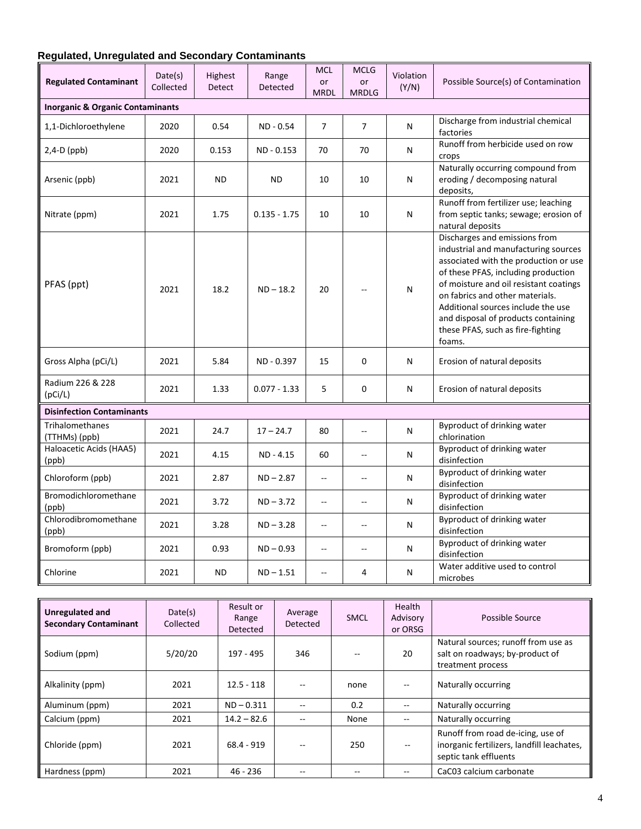# **Regulated, Unregulated and Secondary Contaminants**

| <b>Regulated Contaminant</b>     | Date(s)<br>Collected                        | Highest<br>Detect | Range<br>Detected | <b>MCL</b><br>or<br><b>MRDL</b> | <b>MCLG</b><br><b>or</b><br><b>MRDLG</b> | Violation<br>(Y/N) | Possible Source(s) of Contamination                                                                                                                                                                                                                                                                                                                            |  |  |  |
|----------------------------------|---------------------------------------------|-------------------|-------------------|---------------------------------|------------------------------------------|--------------------|----------------------------------------------------------------------------------------------------------------------------------------------------------------------------------------------------------------------------------------------------------------------------------------------------------------------------------------------------------------|--|--|--|
|                                  | <b>Inorganic &amp; Organic Contaminants</b> |                   |                   |                                 |                                          |                    |                                                                                                                                                                                                                                                                                                                                                                |  |  |  |
| 1,1-Dichloroethylene             | 2020                                        | 0.54              | ND - 0.54         | $\overline{7}$                  | $\overline{7}$                           | N                  | Discharge from industrial chemical<br>factories                                                                                                                                                                                                                                                                                                                |  |  |  |
| $2,4-D$ (ppb)                    | 2020                                        | 0.153             | ND - 0.153        | 70                              | 70                                       | N                  | Runoff from herbicide used on row<br>crops                                                                                                                                                                                                                                                                                                                     |  |  |  |
| Arsenic (ppb)                    | 2021                                        | <b>ND</b>         | <b>ND</b>         | 10                              | 10                                       | N                  | Naturally occurring compound from<br>eroding / decomposing natural<br>deposits,                                                                                                                                                                                                                                                                                |  |  |  |
| Nitrate (ppm)                    | 2021                                        | 1.75              | $0.135 - 1.75$    | 10                              | 10                                       | N                  | Runoff from fertilizer use; leaching<br>from septic tanks; sewage; erosion of<br>natural deposits                                                                                                                                                                                                                                                              |  |  |  |
| PFAS (ppt)                       | 2021                                        | 18.2              | $ND - 18.2$       | 20                              |                                          | N                  | Discharges and emissions from<br>industrial and manufacturing sources<br>associated with the production or use<br>of these PFAS, including production<br>of moisture and oil resistant coatings<br>on fabrics and other materials.<br>Additional sources include the use<br>and disposal of products containing<br>these PFAS, such as fire-fighting<br>foams. |  |  |  |
| Gross Alpha (pCi/L)              | 2021                                        | 5.84              | ND - 0.397        | 15                              | 0                                        | N                  | Erosion of natural deposits                                                                                                                                                                                                                                                                                                                                    |  |  |  |
| Radium 226 & 228<br>(pCi/L)      | 2021                                        | 1.33              | $0.077 - 1.33$    | 5                               | 0                                        | N                  | Erosion of natural deposits                                                                                                                                                                                                                                                                                                                                    |  |  |  |
| <b>Disinfection Contaminants</b> |                                             |                   |                   |                                 |                                          |                    |                                                                                                                                                                                                                                                                                                                                                                |  |  |  |
| Trihalomethanes<br>(TTHMs) (ppb) | 2021                                        | 24.7              | $17 - 24.7$       | 80                              | $\overline{a}$                           | N                  | Byproduct of drinking water<br>chlorination                                                                                                                                                                                                                                                                                                                    |  |  |  |
| Haloacetic Acids (HAA5)<br>(ppb) | 2021                                        | 4.15              | ND - 4.15         | 60                              | $-$                                      | N                  | Byproduct of drinking water<br>disinfection                                                                                                                                                                                                                                                                                                                    |  |  |  |
| Chloroform (ppb)                 | 2021                                        | 2.87              | $ND - 2.87$       | --                              | --                                       | N                  | Byproduct of drinking water<br>disinfection                                                                                                                                                                                                                                                                                                                    |  |  |  |
| Bromodichloromethane<br>(ppb)    | 2021                                        | 3.72              | $ND - 3.72$       | --                              | $-$                                      | N                  | Byproduct of drinking water<br>disinfection                                                                                                                                                                                                                                                                                                                    |  |  |  |
| Chlorodibromomethane<br>(ppb)    | 2021                                        | 3.28              | $ND - 3.28$       | $\overline{a}$                  | --                                       | N                  | Byproduct of drinking water<br>disinfection                                                                                                                                                                                                                                                                                                                    |  |  |  |
| Bromoform (ppb)                  | 2021                                        | 0.93              | $ND - 0.93$       | --                              | $\overline{a}$                           | N                  | <b>Byproduct of drinking water</b><br>disinfection                                                                                                                                                                                                                                                                                                             |  |  |  |
| Chlorine                         | 2021                                        | <b>ND</b>         | $ND - 1.51$       | $-$                             | 4                                        | N                  | Water additive used to control<br>microbes                                                                                                                                                                                                                                                                                                                     |  |  |  |

| Unregulated and<br><b>Secondary Contaminant</b> | Date(s)<br>Collected | Result or<br>Range<br>Detected | Average<br>Detected | <b>SMCL</b> | Health<br>Advisory<br>or ORSG | Possible Source                                                                                          |
|-------------------------------------------------|----------------------|--------------------------------|---------------------|-------------|-------------------------------|----------------------------------------------------------------------------------------------------------|
| Sodium (ppm)                                    | 5/20/20              | 197 - 495                      | 346                 |             | 20                            | Natural sources; runoff from use as<br>salt on roadways; by-product of<br>treatment process              |
| Alkalinity (ppm)                                | 2021                 | $12.5 - 118$                   |                     | none        |                               | Naturally occurring                                                                                      |
| Aluminum (ppm)                                  | 2021                 | $ND - 0.311$                   |                     | 0.2         |                               | Naturally occurring                                                                                      |
| Calcium (ppm)                                   | 2021                 | $14.2 - 82.6$                  |                     | None        |                               | Naturally occurring                                                                                      |
| Chloride (ppm)                                  | 2021                 | $68.4 - 919$                   |                     | 250         |                               | Runoff from road de-icing, use of<br>inorganic fertilizers, landfill leachates,<br>septic tank effluents |
| Hardness (ppm)                                  | 2021                 | $46 - 236$                     |                     |             |                               | CaC03 calcium carbonate                                                                                  |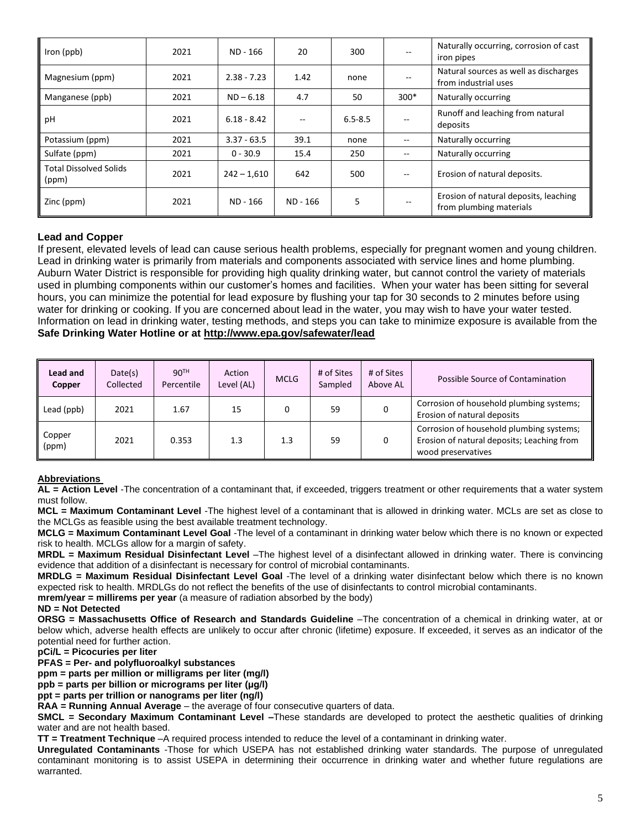| Iron (ppb)                             | 2021 | ND - 166      | 20       | 300         |        | Naturally occurring, corrosion of cast<br>iron pipes             |
|----------------------------------------|------|---------------|----------|-------------|--------|------------------------------------------------------------------|
| Magnesium (ppm)                        | 2021 | $2.38 - 7.23$ | 1.42     | none        |        | Natural sources as well as discharges<br>from industrial uses    |
| Manganese (ppb)                        | 2021 | $ND - 6.18$   | 4.7      | 50          | $300*$ | Naturally occurring                                              |
| pH                                     | 2021 | $6.18 - 8.42$ |          | $6.5 - 8.5$ |        | Runoff and leaching from natural<br>deposits                     |
| Potassium (ppm)                        | 2021 | $3.37 - 63.5$ | 39.1     | none        |        | Naturally occurring                                              |
| Sulfate (ppm)                          | 2021 | $0 - 30.9$    | 15.4     | 250         |        | Naturally occurring                                              |
| <b>Total Dissolved Solids</b><br>(ppm) | 2021 | $242 - 1,610$ | 642      | 500         |        | Erosion of natural deposits.                                     |
| Zinc (ppm)                             | 2021 | ND - 166      | ND - 166 | 5           |        | Erosion of natural deposits, leaching<br>from plumbing materials |

# **Lead and Copper**

If present, elevated levels of lead can cause serious health problems, especially for pregnant women and young children. Lead in drinking water is primarily from materials and components associated with service lines and home plumbing. Auburn Water District is responsible for providing high quality drinking water, but cannot control the variety of materials used in plumbing components within our customer's homes and facilities. When your water has been sitting for several hours, you can minimize the potential for lead exposure by flushing your tap for 30 seconds to 2 minutes before using water for drinking or cooking. If you are concerned about lead in the water, you may wish to have your water tested. Information on lead in drinking water, testing methods, and steps you can take to minimize exposure is available from the **Safe Drinking Water Hotline or at<http://www.epa.gov/safewater/lead>**

| Lead and<br>Copper | Date(s)<br>Collected | 90 <sup>TH</sup><br>Percentile | Action<br>Level (AL) | <b>MCLG</b> | # of Sites<br>Sampled | # of Sites<br>Above AL | Possible Source of Contamination                                                                             |
|--------------------|----------------------|--------------------------------|----------------------|-------------|-----------------------|------------------------|--------------------------------------------------------------------------------------------------------------|
| Lead (ppb)         | 2021                 | 1.67                           | 15                   | 0           | 59                    |                        | Corrosion of household plumbing systems;<br>Erosion of natural deposits                                      |
| Copper<br>(ppm)    | 2021                 | 0.353                          | 1.3                  | 1.3         | 59                    |                        | Corrosion of household plumbing systems;<br>Erosion of natural deposits; Leaching from<br>wood preservatives |

#### **Abbreviations**

**AL = Action Level** -The concentration of a contaminant that, if exceeded, triggers treatment or other requirements that a water system must follow.

**MCL = Maximum Contaminant Level** -The highest level of a contaminant that is allowed in drinking water. MCLs are set as close to the MCLGs as feasible using the best available treatment technology.

**MCLG = Maximum Contaminant Level Goal** -The level of a contaminant in drinking water below which there is no known or expected risk to health. MCLGs allow for a margin of safety.

**MRDL = Maximum Residual Disinfectant Level** –The highest level of a disinfectant allowed in drinking water. There is convincing evidence that addition of a disinfectant is necessary for control of microbial contaminants.

**MRDLG = Maximum Residual Disinfectant Level Goal** -The level of a drinking water disinfectant below which there is no known expected risk to health. MRDLGs do not reflect the benefits of the use of disinfectants to control microbial contaminants.

**mrem/year = millirems per year** (a measure of radiation absorbed by the body)

**ND = Not Detected**

**ORSG = Massachusetts Office of Research and Standards Guideline** –The concentration of a chemical in drinking water, at or below which, adverse health effects are unlikely to occur after chronic (lifetime) exposure. If exceeded, it serves as an indicator of the potential need for further action.

**pCi/L = Picocuries per liter**

**PFAS = Per- and polyfluoroalkyl substances**

**ppm = parts per million or milligrams per liter (mg/l)**

**ppb = parts per billion or micrograms per liter (μg/l)**

**ppt = parts per trillion or nanograms per liter (ng/l)**

**RAA = Running Annual Average** – the average of four consecutive quarters of data.

**SMCL = Secondary Maximum Contaminant Level –**These standards are developed to protect the aesthetic qualities of drinking water and are not health based.

**TT = Treatment Technique** –A required process intended to reduce the level of a contaminant in drinking water.

**Unregulated Contaminants** -Those for which USEPA has not established drinking water standards. The purpose of unregulated contaminant monitoring is to assist USEPA in determining their occurrence in drinking water and whether future regulations are warranted.